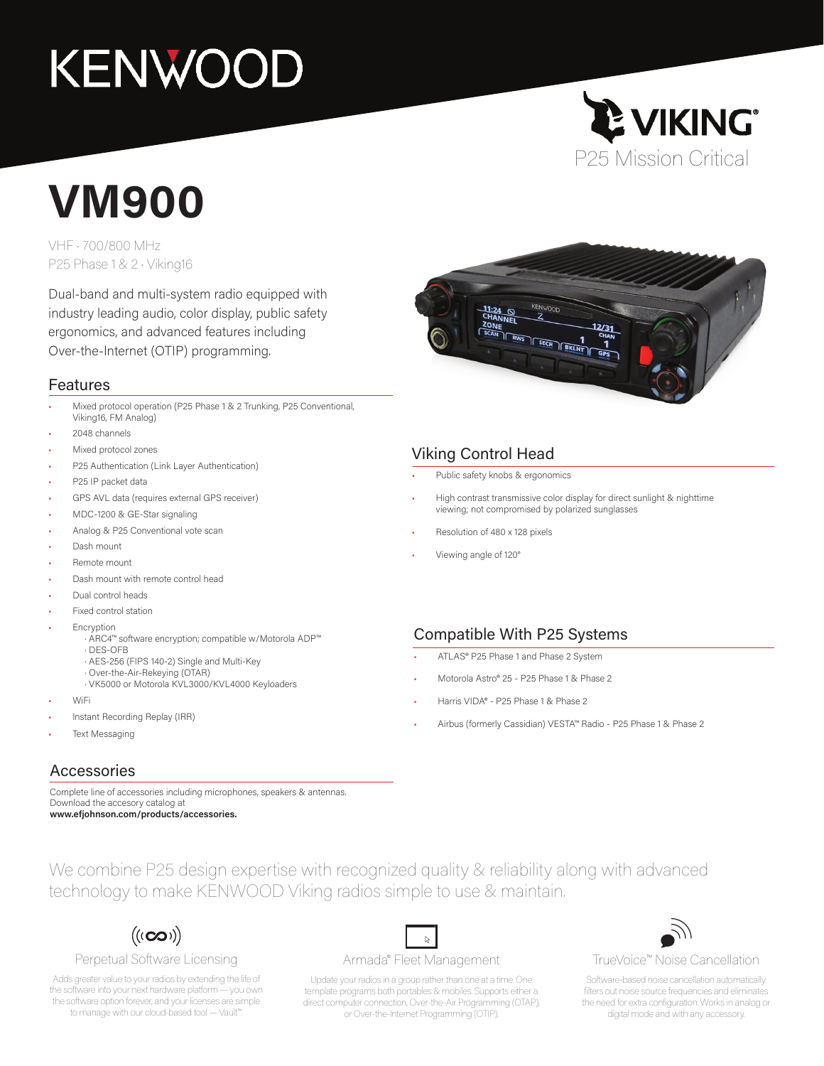# **KENWOOD**



## **VM900**

VHF • 700/800 MHz P25 Phase 1 & 2 • Viking16

Dual-band and multi-system radio equipped with industry leading audio, color display, public safety ergonomics, and advanced features including Over-the-Internet (OTIP) programming.

#### Features

- Mixed protocol operation (P25 Phase 1 & 2 Trunking, P25 Conventional, Viking16, FM Analog)
- 2048 channels
- Mixed protocol zones
- P25 Authentication (Link Layer Authentication)
- P25 IP packet data
- GPS AVL data (requires external GPS receiver)
- MDC-1200 & GE-Star signaling
- Analog & P25 Conventional vote scan
- Dash mount
- Remote mount
- Dash mount with remote control head
- Dual control heads
- Fixed control station
- **Encryption** 
	- · ARC4™ software encryption; compatible w/Motorola ADP™ · DES-OFB
	- · AES-256 (FIPS 140-2) Single and Multi-Key
	- · Over-the-Air-Rekeying (OTAR)
	- · VK5000 or Motorola KVL3000/KVL4000 Keyloaders
- WiFi
- Instant Recording Replay (IRR)
- Text Messaging

#### Accessories

Complete line of accessories including microphones, speakers & antennas. Download the accesory catalog at

**www.efjohnson.com/products/accessories.**



#### $((\mathbf{co})$

#### Perpetual Software Licensing

Adds greater value to your radios by extending the life of the software into your next hardware platform — you own the software option forever, and your licenses are simple to manage with our cloud-based tool — Vault™.

#### $\mathbb{Z}$ Armada® Fleet Management

Update your radios in a group rather than one at a time. One template programs both portables & mobiles. Supports either a direct computer connection, Over-the-Air Programming (OTAP), or Over-the-Internet Programming (OTIP).



#### Viking Control Head

- Public safety knobs & ergonomics
- High contrast transmissive color display for direct sunlight & nighttime viewing; not compromised by polarized sunglasses
- Resolution of 480 x 128 pixels
- Viewing angle of 120°

#### Compatible With P25 Systems

- ATLAS® P25 Phase 1 and Phase 2 System
- Motorola Astro® 25 P25 Phase 1 & Phase 2
- Harris VIDA® P25 Phase 1 & Phase 2
- Airbus (formerly Cassidian) VESTA™ Radio P25 Phase 1 & Phase 2



TrueVoice™ Noise Cancellation

Software-based noise cancellation automatically filters out noise source frequencies and eliminates the need for extra configuration. Works in analog or digital mode and with any accessory.